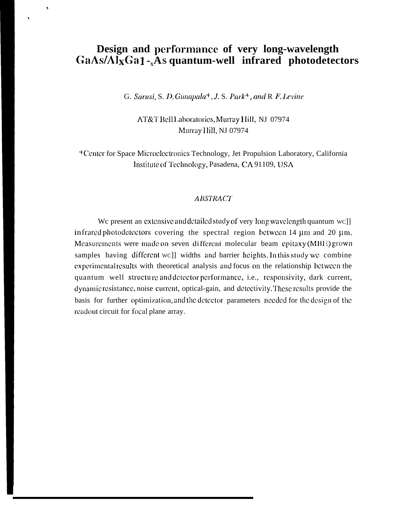# Design and performance of very long-wavelength  $GaAs/Al_XGa1 -<sub>x</sub> As quantum-well infrared photodetectors$

 $\overline{\phantom{a}}$ 

Ń

G. Sarusi, S. D. Gunapala<sup>+</sup>, J. S. Park<sup>+</sup>, and R F. Levine

AT&T BellLaboratorics, Murray Hill, NJ 07974 Murray Hill, NJ 07974

<sup>+</sup> Center for Space Microelectronics Technology, Jet Propulsion Laboratory, California Institute of Technology, Pasadena, CA 91109, USA

#### **ABSTRACT**

We present an extensive and detailed study of very long wavelength quantum well infrared photodetectors covering the spectral region between 14 um and 20 um. Measurements were made on seven different molecular beam epitaxy (MBI:) grown samples having different wc]] widths and barrier heights. In this study we combine experimental results with theoretical analysis and focus on the relationship between the quantum well structure and detector performance, i.e., responsivity, dark current, dynamic resistance, noise current, optical-gain, and detectivity. These results provide the basis for further optimization, and the detector parameters needed for the design of the readout circuit for focal plane array.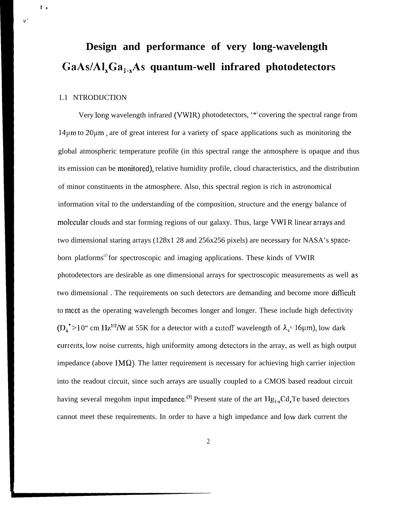# **Design and performance of very long-wavelength** GaAs/Al<sub>x</sub>Ga<sub>1-x</sub>As quantum-well infrared photodetectors

## 1.1 NTRODIJCTION

*v'*

 $\mathbf{r}$ 

Very long wavelength infrared (VWIR) photodetectors,  $\cdot\cdot\cdot$  covering the spectral range from  $14\mu$ m to  $20\mu$ m, are of great interest for a variety of space applications such as monitoring the global atmospheric temperature profile (in this spectral range the atmosphere is opaque and thus its emission can be monitored), relative humidity profile, cloud characteristics, and the distribution of minor constituents in the atmosphere. Also, this spectral region is rich in astronomical information vital to the understanding of the composition, structure and the energy balance of molecular clouds and star forming regions of our galaxy. Thus, large VWI R linear arrays and two dimensional staring arrays (128x1 28 and 256x256 pixels) are necessary for NASA's spaceborn platforms<sup>(2)</sup> for spectroscopic and imaging applications. These kinds of VWIR photodetectors are desirable as one dimensional arrays for spectroscopic measurements as well as two dimensional. The requirements on such detectors are demanding and become more difficult to meet as the operating wavelength becomes longer and longer. These include high defectivity  $(D_1^{\bullet} > 10^{10}$  cm Hz<sup>1/2</sup>/W at 55K for a detector with a cutoff wavelength of  $\lambda_c = 16 \mu m$ ), low dark currents, low noise currents, high uniformity among detectors in the array, as well as high output impedance (above  $1\text{M}\Omega$ ). The latter requirement is necessary for achieving high carrier injection into the readout circuit, since such arrays are usually coupled to a CMOS based readout circuit having several megohm input impedance.<sup>(3)</sup> Present state of the art  $Hg_{1}$ , Cd, Te based detectors cannot meet these requirements. In order to have a high impedance and low dark current the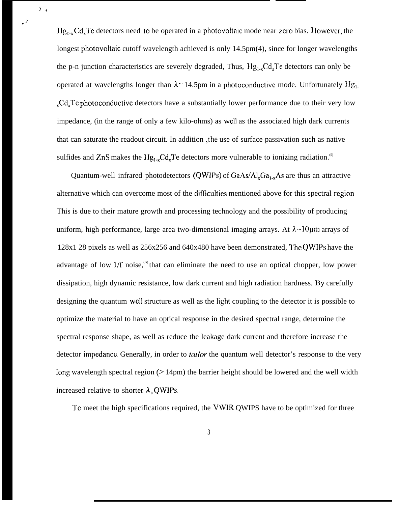$Hg_{1-x}Cd_xTe$  detectors need to be operated in a photovoltaic mode near zero bias. However, the longest photovoltaic cutoff wavelength achieved is only 14.5pm(4), since for longer wavelengths the p-n junction characteristics are severely degraded, Thus,  $Hg_{1,x}Cd_{x}Te$  detectors can only be operated at wavelengths longer than  $\lambda = 14.5$ pm in a photoconductive mode. Unfortunately Hg<sub>1</sub>. , Cd, Te photoconductive detectors have a substantially lower performance due to their very low impedance, (in the range of only a few kilo-ohms) as well as the associated high dark currents that can saturate the readout circuit. In addition ,the use of surface passivation such as native sulfides and ZnS makes the  $Hg_{1,x}Cd_{x}Te$  detectors more vulnerable to ionizing radiation.<sup>(5)</sup>

J .

 $\Sigma_{\rm eff}$ 

Quantum-well infrared photodetectors (QWIPs) of  $GaAs/Al_xGa_{1-x}As$  are thus an attractive alternative which can overcome most of the difficulties mentioned above for this spectral region. This is due to their mature growth and processing technology and the possibility of producing uniform, high performance, large area two-dimensional imaging arrays. At  $\lambda \sim 10 \mu m$  arrays of 128x1 28 pixels as well as 256x256 and 640x480 have been demonstrated, "]'he QWIPS have the advantage of low  $1/f$  noise,  $\degree$  that can eliminate the need to use an optical chopper, low power dissipation, high dynamic resistance, low dark current and high radiation hardness. By carefully designing the quantum well structure as well as the light coupling to the detector it is possible to optimize the material to have an optical response in the desired spectral range, determine the spectral response shape, as well as reduce the leakage dark current and therefore increase the detector impedance. Generally, in order to *tailor* the quantum well detector's response to the very long wavelength spectral region ( $> 14$ pm) the barrier height should be lowered and the well width increased relative to shorter  $\lambda_c$  QWIPs.

'1'o meet the high specifications required, the VWIR QWIPS have to be optimized for three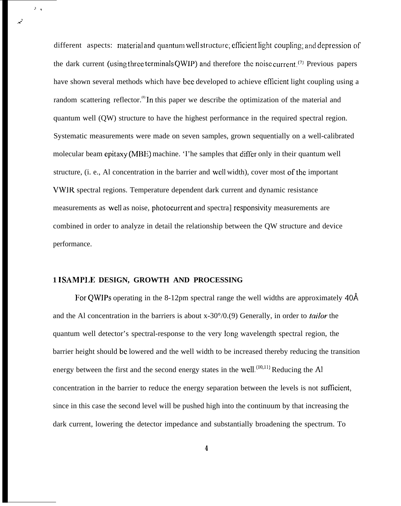different aspects: material and quantum well structure; efficient light coupling; and depression of the dark current (using three terminals QWIP) and therefore the noise current.<sup>(7)</sup> Previous papers have shown several methods which have bee developed to achieve efficient light coupling using a random scattering reflector.<sup>(8)</sup>In this paper we describe the optimization of the material and quantum well (QW) structure to have the highest performance in the required spectral region. Systematic measurements were made on seven samples, grown sequentially on a well-calibrated molecular beam epitaxy (MBE) machine. 'I'he samples that difler only in their quantum well structure, (i. e., Al concentration in the barrier and well width), cover most of the important VW1 R spectral regions. Temperature dependent dark current and dynamic resistance measurements as well as noise, photocurrent and spectra] responsivity measurements are combined in order to analyze in detail the relationship between the QW structure and device performance.

#### **1 I SAMPI.E DESIGN, GROWTH AND PROCESSING**

,\ ,.

 $\lambda_{\rm{max}}$ 

For OWIPs operating in the 8-12pm spectral range the well widths are approximately  $40\text{\AA}$ and the Al concentration in the barriers is about x-30 $^{\circ}/0.9$ ) Generally, in order to *tailor* the quantum well detector's spectral-response to the very long wavelength spectral region, the barrier height should be lowered and the well width to be increased thereby reducing the transition energy between the first and the second energy states in the well.<sup> $(10,11)$ </sup> Reducing the Al concentration in the barrier to reduce the energy separation between the levels is not suficient, since in this case the second level will be pushed high into the continuum by that increasing the dark current, lowering the detector impedance and substantially broadening the spectrum. To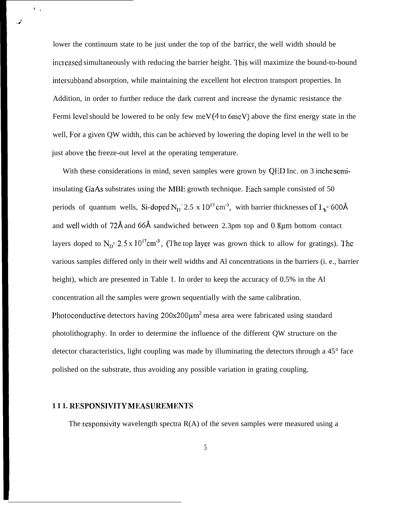lower the continuum state to be just under the top of the barrier, the well width should be increased simultaneously with reducing the barrier height. This will maximize the bound-to-bound intcrsubband absorption, while maintaining the excellent hot electron transport properties. In Addition, in order to further reduce the dark current and increase the dynamic resistance the Fermi level should be lowered to be only few meV (4 to 6meV) above the first energy state in the well, For a given QW width, this can be achieved by lowering the doping level in the well to be just above the freeze-out level at the operating temperature.

With these considerations in mind, seven samples were grown by QED Inc. on 3 inche semiinsulating GaAs substrates using the MBE growth technique. Each sample consisted of 50 periods of quantum wells, Si-doped N<sub>1</sub><sup>=</sup>2.5 x 10<sup>17</sup> cm<sup>-3</sup>, with barrier thicknesses of  $I<sub>4</sub>$ =600Å and well width of  $72\text{\AA}$  and  $66\text{\AA}$  sandwiched between 2.3pm top and 0.8 $\mu$ m bottom contact layers doped to  $N_D=2.5 \times 10^{17}$ cm<sup>-3</sup>, (The top layer was grown thick to allow for gratings). The various samples differed only in their well widths and Al concentrations in the barriers (i. e., barrier height), which are presented in Table 1. In order to keep the accuracy of 0.5% in the Al concentration all the samples were grown sequentially with the same calibration. Photoconductive detectors having  $200x200\mu m^2$  mesa area were fabricated using standard photolithography. In order to determine the influence of the different QW structure on the detector characteristics, light coupling was made by illuminating the detectors through a 45° face polished on the substrate, thus avoiding any possible variation in grating coupling.

#### **1 I 1. RESPONSIVITY MEASIJREMENTS**

 $\mathbf{S}$ ..f

 $\mathbf{r}_{-1}$ 

The responsivity wavelength spectra  $R(A)$  of the seven samples were measured using a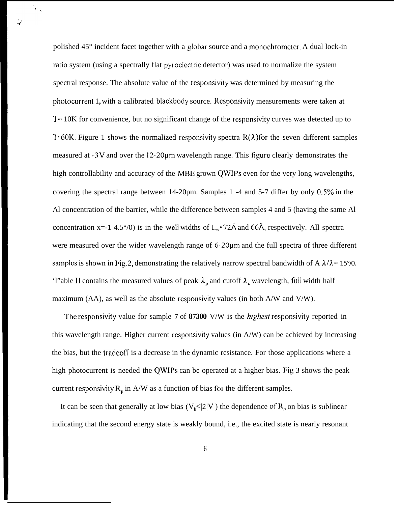polished 45° incident facet together with a globar source and a monochromcter. A dual lock-in ratio system (using a spectrally flat pyroclectric detector) was used to normalize the system spectral response. The absolute value of the responsivity was determined by measuring the photocurrent  $1$ , with a calibrated blackbody source. Responsivity measurements were taken at  $T = 10K$  for convenience, but no significant change of the responsivity curves was detected up to T=60K. Figure 1 shows the normalized responsivity spectra  $R(\lambda)$  for the seven different samples measured at  $-3V$  and over the  $12-20\mu m$  wavelength range. This figure clearly demonstrates the high controllability and accuracy of the MBE grown QWIPs even for the very long wavelengths, covering the spectral range between  $14$ -20pm. Samples 1 -4 and 5-7 differ by only 0.5% in the Al concentration of the barrier, while the difference between samples 4 and 5 (having the same Al concentration x=-1 4.5°/0) is in the well widths of  $I_w$  72Å and 66Å, respectively. All spectra were measured over the wider wavelength range of 6-20 $\mu$ m and the full spectra of three different samples is shown in Fig.2, demonstrating the relatively narrow spectral bandwidth of A  $\lambda/\lambda = 15^{\circ}/0$ . 'l''able II contains the measured values of peak  $\lambda_p$  and cutoff  $\lambda_c$  wavelength, full width half maximum (AA), as well as the absolute responsivity values (in both A/W and V/W).

 $\mathbf{v}_\mathrm{in}$ 

The responsivity value for sample 7 of 87300 V/W is the *highest* responsivity reported in this wavelength range. Higher current responsivity values (in A/W) can be achieved by increasing the bias, but the tradeofl is a decrease in the dynamic resistance. For those applications where a high photocurrent is needed the QWJPS can be operated at a higher bias. Fig 3 shows the peak current responsivity  $R_p$  in A/W as a function of bias for the different samples.

It can be seen that generally at low bias  $(V_b \le |2|V)$  the dependence of  $R_p$  on bias is sublinear indicating that the second energy state is weakly bound, i.e., the excited state is nearly resonant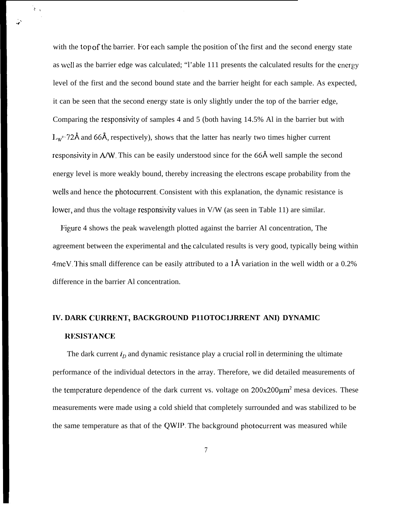with the top of the barrier. For each sample the position of the first and the second energy state as well as the barrier edge was calculated; "I'able 111 presents the calculated results for the energy level of the first and the second bound state and the barrier height for each sample. As expected, it can be seen that the second energy state is only slightly under the top of the barrier edge, Comparing the responsivity of samples 4 and 5 (both having 14.5% Al in the barrier but with  $L_W$ =72Å and 66Å, respectively), shows that the latter has nearly two times higher current responsivity in A/W. This can be easily understood since for the 66Å well sample the second energy level is more weakly bound, thereby increasing the electrons escape probability from the wells and hence the photocurrent. Consistent with this explanation, the dynamic resistance is lower, and thus the voltage responsivity values in V/W (as seen in Table 11) are similar.

 $\mathcal{L}_{\mathcal{A}}$ 

Fisure 4 shows the peak wavelength plotted against the barrier Al concentration, The agreement between the experimental and the calculated results is very good, typically being within 4meV. This small difference can be easily attributed to a  $1 \text{\AA}$  variation in the well width or a 0.2% difference in the barrier Al concentration.

# IV. DARK CURRENT, BACKGROUND P11OTOC1JRRENT ANI) DYNAMIC **RESISJ'ANCE**

The dark current  $i<sub>D</sub>$  and dynamic resistance play a crucial roll in determining the ultimate performance of the individual detectors in the array. Therefore, we did detailed measurements of the temperature dependence of the dark current vs. voltage on  $200x200\mu m^2$  mesa devices. These measurements were made using a cold shield that completely surrounded and was stabilized to be the same temperature as that of the QWIP. The background photocurrent was measured while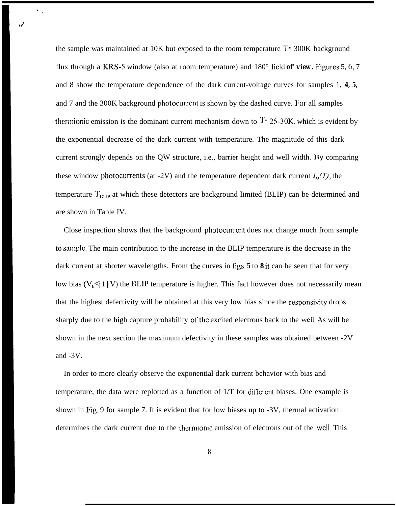the sample was maintained at 10K but exposed to the room temperature  $T = 300K$  background flux through a KRS-5 window (also at room temperature) and  $180^\circ$  field **of' view.** Figures 5, 6, 7 and 8 show the temperature dependence of the dark current-voltage curves for samples 1, *4, 5,* and 7 and the 300K background photocurrent is shown by the dashed curve. For all samples thermionic emission is the dominant current mechanism down to  $T = 25-30K$ , which is evident by the exponential decrease of the dark current with temperature. The magnitude of this dark current strongly depends on the QW structure, i.e., barrier height and well width. By comparing these window photocurrents (at -2V) and the temperature dependent dark current  $i_D(T)$ , the temperature  $T_{\text{BLP}}$  at which these detectors are background limited (BLIP) can be determined and are shown in Table IV.

 $\mathbf{v}_{\rm{in}}$ 

w'

Close inspection shows that the background photocurrent does not change much from sample to smnplc. The main contribution to the increase in the BLIP temperature is the decrease in the dark current at shorter wavelengths. From the curves in figs. *5* to *8* it can be seen that for very low bias  $(V_b \leq 1 | V)$  the BLIP temperature is higher. This fact however does not necessarily mean that the highest defectivity will be obtained at this very low bias since the responsivity drops sharply due to the high capture probability of the excited electrons back to the well. As will be shown in the next section the maximum defectivity in these samples was obtained between -2V and -3V.

In order to more clearly observe the exponential dark current behavior with bias and temperature, the data were replotted as a function of  $1/T$  for different biases. One example is shown in Fig. 9 for sample 7. It is evident that for low biases up to  $-3V$ , thermal activation determines the dark current due to the thermionic emission of electrons out of the well. This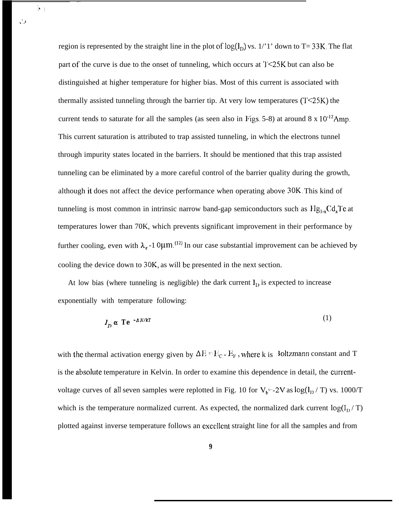region is represented by the straight line in the plot of  $log(I_D)$  vs. 1/'1' down to T= 33K. The flat part of the curve is due to the onset of tunneling, which occurs at T<25K but can also be distinguished at higher temperature for higher bias. Most of this current is associated with thermally assisted tunneling through the barrier tip. At very low temperatures (T<25K) the current tends to saturate for all the samples (as seen also in Figs. 5-8) at around  $8 \times 10^{-12}$ Amp. This current saturation is attributed to trap assisted tunneling, in which the electrons tunnel through impurity states located in the barriers. It should be mentioned that this trap assisted tunneling can be eliminated by a more careful control of the barrier quality during the growth, although it does not affect the device performance when operating above 30K. This kind of tunneling is most common in intrinsic narrow band-gap semiconductors such as  $Hg_{1-x}Cd_xTe$  at temperatures lower than 70K, which prevents significant improvement in their performance by further cooling, even with  $\lambda_c$  -1 0µm.<sup>(12)</sup> In our case substantial improvement can be achieved by cooling the device down to 30K, as will be presented in the next section.

—

 $\cdot$ 

 $\sim$ ,  $\lambda$ 

At low bias (where tunneling is negligible) the dark current  $I<sub>D</sub>$  is expected to increase exponentially with temperature following:

$$
I_D \alpha \ \mathbf{Te}^{-\Delta E/kT} \tag{1}
$$

with the thermal activation energy given by  $\Delta E = E_c - E_F$ , where k is 30ltzmann constant and T is the absohlte temperature in Kelvin. In order to examine this dependence in detail, the currcntvoltage curves of all seven samples were replotted in Fig. 10 for  $V_b$ =-2V as  $log(I_b / T)$  vs. 1000/T which is the temperature normalized current. As expected, the normalized dark current  $log(I<sub>D</sub> / T)$ plotted against inverse temperature follows an cxccllent straight line for all the samples and from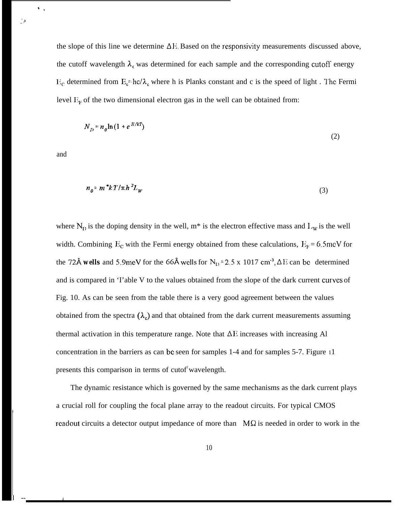the slope of this line we determine  $\Delta E$ . Based on the responsivity measurements discussed above, the cutoff wavelength  $\lambda_c$  was determined for each sample and the corresponding cutoff energy  $E_c$  determined from  $E_c$ =hc/ $\lambda_c$  where h is Planks constant and c is the speed of light . The Fermi level  $E_F$  of the two dimensional electron gas in the well can be obtained from:

$$
N_D = n_o \ln \left(1 + e^{E/kT}\right)
$$

(2)

and

 $\bar{\mathbf{v}}_{\rm eff}$ 

د ا

I -- <sup>I</sup>

$$
n_{\rho} = m^* k T / \pi h^2 L_W \tag{3}
$$

where  $N_D$  is the doping density in the well, m<sup>\*</sup> is the electron effective mass and  $L_W$  is the well width. Combining  $E_c$  with the Fermi energy obtained from these calculations,  $E_F = 6.5$ meV for the 72Å wells and 5.9meV for the 66Å wells for N<sub>1</sub> = 2.5 x 1017 cm<sup>-3</sup>,  $\Delta E$  can be determined and is compared in 'I'able V to the values obtained from the slope of the dark current curves of Fig. 10. As can be seen from the table there is a very good agreement between the values obtained from the spectra  $(\lambda_c)$  and that obtained from the dark current measurements assuming thermal activation in this temperature range. Note that  $\Delta E$  increases with increasing Al concentration in the barriers as can be seen for samples 1-4 and for samples 5-7. Figure 11 presents this comparison in terms of cutof wavelength.

The dynamic resistance which is governed by the same mechanisms as the dark current plays a crucial roll for coupling the focal plane array to the readout circuits. For typical CMOS readout circuits a detector output impedance of more than  $M\Omega$  is needed in order to work in the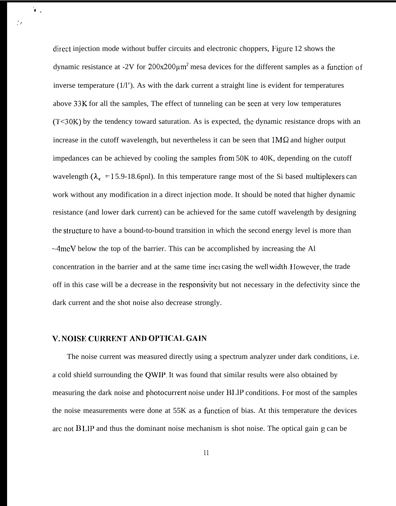direct injection mode without buffer circuits and electronic choppers, Figure  $12$  shows the dynamic resistance at  $-2V$  for  $200x200\mu m^2$  mesa devices for the different samples as a function of inverse temperature (1/l'). As with the dark current a straight line is evident for temperatures above 33K for all the samples, The effect of tunneling can be seen at very low temperatures  $(T<30K)$  by the tendency toward saturation. As is expected, the dynamic resistance drops with an increase in the cutoff wavelength, but nevertheless it can be seen that  $1\text{M}\Omega$  and higher output impedances can be achieved by cooling the samples from  $50K$  to  $40K$ , depending on the cutoff wavelength ( $\lambda_c$  = 15.9-18.6pnl). In this temperature range most of the Si based multiplexers can work without any modification in a direct injection mode. It should be noted that higher dynamic resistance (and lower dark current) can be achieved for the same cutoff wavelength by designing the structure to have a bound-to-bound transition in which the second energy level is more than  $\sim$ 4meV below the top of the barrier. This can be accomplished by increasing the Al concentration in the barrier and at the same time incl casing the well width. However, the trade off in this case will be a decrease in the responsivity but not necessary in the defectivity since the dark current and the shot noise also decrease strongly.

#### V. NOISE CURRENT AND OPTICAL GAIN

 $\mathbf{L}_{\mathrm{eff}}$ 

 $\mathcal{O}(\mathcal{S})$ 

The noise current was measured directly using a spectrum analyzer under dark conditions, i.e. a cold shield surrounding the QWIP. It was found that similar results were also obtained by measuring the dark noise and photocurrent noise under B] .1P conditions. For most of the samples the noise measurements were done at 55K as a function of bias. At this temperature the devices arc not 13 LIP and thus the dominant noise mechanism is shot noise. The optical gain g can be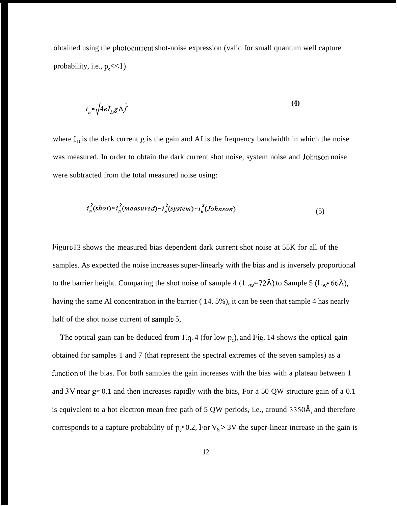obtained using the photocurrent shot-noise expression (valid for small quantum well capture probability, i.e.,  $p_c \ll 1$ )

$$
i = \sqrt{4eI_0g\Delta f}
$$
 (4)

where  $I<sub>D</sub>$  is the dark current g is the gain and Af is the frequency bandwidth in which the noise was measured. In order to obtain the dark current shot noise, system noise and Johmson noise were subtracted from the total measured noise using:

$$
i_n^2(\text{shot}) = i_n^2(\text{measured}) - i_n^2(\text{system}) - i_n^2(\text{Johnson})\tag{5}
$$

Figure 13 shows the measured bias dependent dark current shot noise at 55K for all of the samples. As expected the noise increases super-linearly with the bias and is inversely proportional to the barrier height. Comparing the shot noise of sample 4 (1  $w=72\text{\AA}$ ) to Sample 5 ( $L_w=66\text{\AA}$ ), having the same Al concentration in the barrier ( 14, 5%), it can be seen that sample 4 has nearly half of the shot noise current of sample 5,

The optical gain can be deduced from Eq. 4 (for low  $p_c$ ), and Fig. 14 shows the optical gain obtained for samples 1 and 7 (that represent the spectral extremes of the seven samples) as a function of the bias. For both samples the gain increases with the bias with a plateau between 1 and  $3V$  near  $g=0.1$  and then increases rapidly with the bias, For a 50 QW structure gain of a 0.1 is equivalent to a hot electron mean free path of 5 QW periods, i.e., around 3350Å, and therefore corresponds to a capture probability of  $p_c = 0.2$ , For  $V_b > 3V$  the super-linear increase in the gain is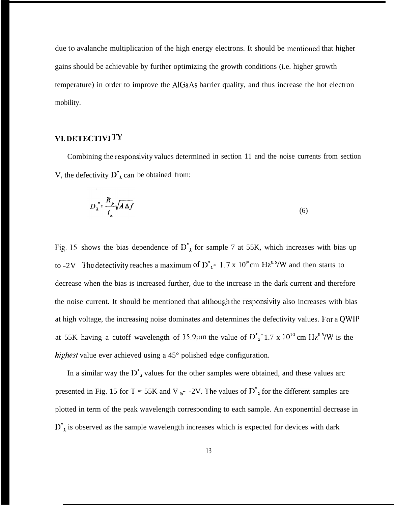due to avalanche multiplication of the high energy electrons. It should be mentioned that higher gains should bc achievable by further optimizing the growth conditions (i.e. higher growth temperature) in order to improve the AlGaAs barrier quality, and thus increase the hot electron mobility.

## VI. DETECTIVITY

Combining the responsivity values determined in section 11 and the noise currents from section V, the defectivity  $D^{\dagger}_{\lambda}$  can be obtained from:

$$
D_{\lambda}^{\bullet} = \frac{R_p}{i_n} \sqrt{A \Delta f} \tag{6}
$$

Fig. 15 shows the bias dependence of  $D^{\dagger}_{\lambda}$  for sample 7 at 55K, which increases with bias up to **-2V** The detectivity reaches a maximum of  $D^*_{\lambda} = 1.7$  x  $10^{\circ}$  cm Hz<sup>0.5</sup>/W and then starts to decrease when the bias is increased further, due to the increase in the dark current and therefore the noise current. It should be mentioned that althoush the responsivity also increases with bias at high voltage, the increasing noise dominates and determines the defectivity values. For a QWIP at 55K having a cutoff wavelength of 15.9 $\mu$ m the value of  $D^*_{\lambda}$ =1.7 x 10<sup>10</sup> cm llz<sup>0.5</sup>/W is the *highest* value ever achieved using a 45° polished edge configuration.

In a similar way the  $D^*_{\lambda}$  values for the other samples were obtained, and these values arc presented in Fig. 15 for T = 55K and V  $_b$  = -2V. The values of  $D^*$  for the different samples are plotted in term of the peak wavelength corresponding to each sample. An exponential decrease in  $D^*_{\lambda}$  is observed as the sample wavelength increases which is expected for devices with dark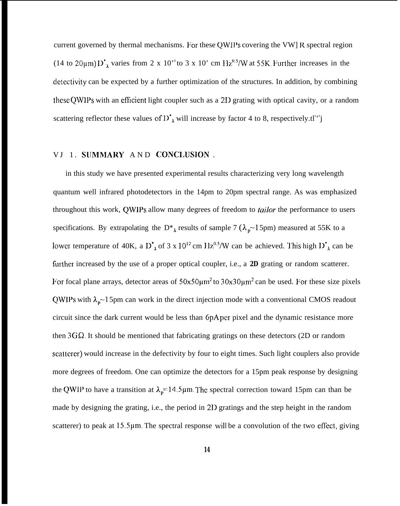current governed by thermal mechanisms. For these QWIPs covering the VW] R spectral region (14 to 20 $\mu$ m)  $D^*$ <sub>1</sub> varies from 2 x 10<sup>o</sup>to 3 x 10<sup>o</sup> cm Hz<sup>0.5</sup>/W at 55K. Further increases in the detectivity can be expected by a further optimization of the structures. In addition, by combining these QWIPs with an efficient light coupler such as a 2D grating with optical cavity, or a random scattering reflector these values of  $D^*_{\lambda}$  will increase by factor 4 to 8, respectively.tl<sup>\*\*\*</sup>j

## VJ 1. SUMMARY AND CONCLUSION.

in this study we have presented experimental results characterizing very long wavelength quantum well infrared photodetectors in the 14pm to 20pm spectral range. As was emphasized throughout this work, QWIPS allow many degrees of freedom to *tai/or* the performance to users specifications. By extrapolating the D<sup>\*</sup><sub> $\lambda$ </sub> results of sample 7 ( $\lambda_{p}$ ~15pm) measured at 55K to a lower temperature of 40K, a D<sup>\*</sup><sub>1</sub> of 3 x 10<sup>12</sup> cm Hz<sup>0.5</sup>/W can be achieved. This high D<sup>\*</sup><sub>1</sub> can be further increased by the use of a proper optical coupler, i.e., a **2D** grating or random scatterer. For focal plane arrays, detector areas of  $50x50\mu m^2$  to  $30x30\mu m^2$  can be used. For these size pixels QWIPs with  $\lambda_p$ -15pm can work in the direct injection mode with a conventional CMOS readout circuit since the dark current would be less than 6pA per pixel and the dynamic resistance more then  $3G\Omega$ . It should be mentioned that fabricating gratings on these detectors (2D or random scatterer) would increase in the defectivity by four to eight times. Such light couplers also provide more degrees of freedom. One can optimize the detectors for a 15pm peak response by designing the QWIP to have a transition at  $\lambda_p = 14.5 \mu$ m. The spectral correction toward 15pm can than be made by designing the grating, i.e., the period in 2D gratings and the step height in the random scatterer) to peak at  $15.5\mu$ m. The spectral response will be a convolution of the two effect, giving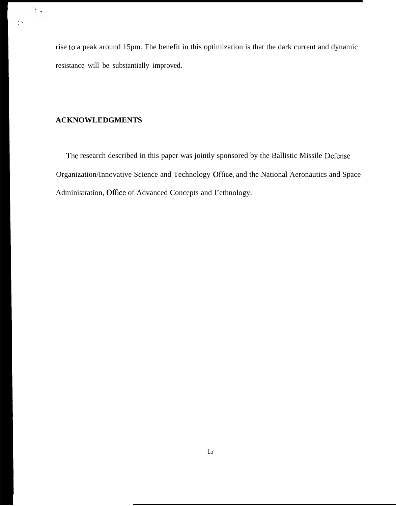rise to a peak around 15pm. The benefit in this optimization is that the dark current and dynamic resistance will be substantially improved.

# **ACKNOWLEDGMENTS**

 $\frac{1}{2}$  .

 $\mathbb{R}^3$ 

The research described in this paper was jointly sponsored by the Ballistic Missile Defense Organization/Innovative Science and Technology offIce, and the National Aeronautics and Space Administration, Oflice of Advanced Concepts and I'ethnology.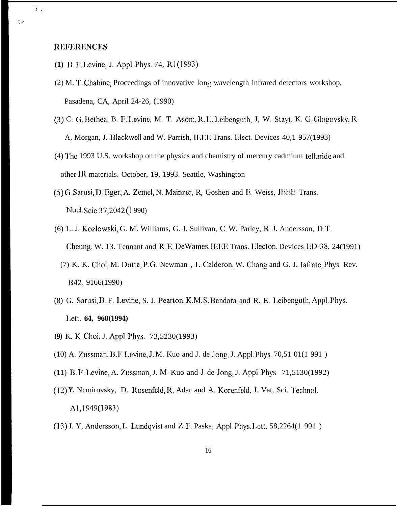#### **IREFERENCES**

") ,

: .'

- **(1)** 11, F, l.evinc, J. Appl. Phys. 74, RI (1993)
- (2) M. ']'. Chahine, Proceedings of innovative long wavelength infrared detectors workshop, Pasadena, CA, April 24-26, (1990)
- (3) C. G, Dethea, B. F. l,evine, M. T. Asom, R, I;. <sup>1</sup> eibenguth, J, W. Stayt, K. G, Glogovsky, R A, Morgan, J. Blackwell and W. Parrish, IEEE Trans. Elect. Devices 40,1 957(1993)
- (4) The 1993 U.S. workshop on the physics and chemistry of mercury cadmium telluride and other lR materials. October, 19, 1993. Seattle, Washington
- $(5)$ G. Sarusi, D. Eger, A. Zemel, N. Mainzer, R. Goshen and E. Weiss, IEFE Trans. Nucl. Scie.37,2042 (1 990)
- (6) 1.. J. Kozlowski, G. M. Williams, G. J. Sullivan, C. W. Parley, R. J. Andersson, D,T. Cheung, W. 13. Tennant and R. E. DeWames, IEEE Trans. Electon, Devices ED-38, 24(1991)
	- (7) K. K. Choi, M. Dutta, P.G. Newman, L. Calderon, W. Chang and G. J. Iafrate, Phys. Rev. B42, 9166(1990)
- (8) G. Sarusi, B. F. Levine, S. J. Pearton, K.M. S. Bandara and R. E. Leibenguth, Appl. Phys. l.ett. *64, 960(1994)*
- *(9)* K. K, Choi, J. Appl. Phys. 73,5230(1993)
- $(10)$  A. Zussman, B.F. Levine, J. M. Kuo and J. de Jong, J. Appl. Phys. 70,51 01(1 991)
- (11) B. F. Levine, A. Zussman, J. M. Kuo and J. de Jong, J. Appl. Phys.  $71,5130(1992)$
- (12) *Y.* Ncmirovsky, D. Rosenfeld, R, Adar and A. Korenfeld, J. Vat, Sci. Technol. A1,1949(1983)
- (13) J. Y, Andersson, L. Lundqvist and Z. F, Paska, App]. Phys. l.ett, 58,2264(1 991 )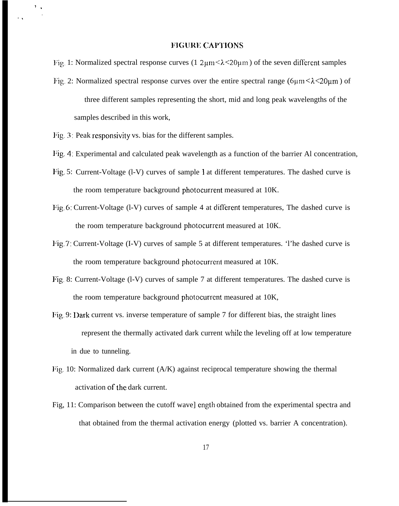#### FIGURE CAPTIONS

Fig. 1: Normalized spectral response curves (1  $2\mu$ m  $\leq \lambda \leq 20\mu$ m) of the seven different samples Fig. 2: Normalized spectral response curves over the entire spectral range (6 $\mu$ m < $\lambda$ <20 $\mu$ m) of three different samples representing the short, mid and long peak wavelengths of the samples described in this work,

,.

 $\Sigma_{\rm eff}$ 

Fig. 3: Peak responsivity vs. bias for the different samples.

- Fig. 4: Experimental and calculated peak wavelength as a function of the barrier Al concentration,
- Fig. 5: Current-Voltage (l-V) curves of sample 1 at different temperatures. The dashed curve is the room temperature background photocurrent measured at 10K.
- Fig. 6: Current-Voltage (l-V) curves of sample 4 at different temperatures, The dashed curve is the room temperature background photocurrent measured at 10K.
- };ig. 7: Current-Voltage (I-V) curves of sample 5 at different temperatures. 'l'he dashed curve is the room temperature background photocurrent measured at 10K.
- Fig, 8: Current-Voltage (l-V) curves of sample 7 at different temperatures. The dashed curve is the room temperature background photocurrent measured at 10K,
- Fig. 9: Dark current vs. inverse temperature of sample 7 for different bias, the straight lines represent the thermally activated dark current while the leveling off at low temperature in due to tunneling.
- Fig. 10: Normalized dark current (A/K) against reciprocal temperature showing the thermal activation of the dark current.
- Fig, 11: Comparison between the cutoff wave] ength obtained from the experimental spectra and that obtained from the thermal activation energy (plotted vs. barrier A concentration).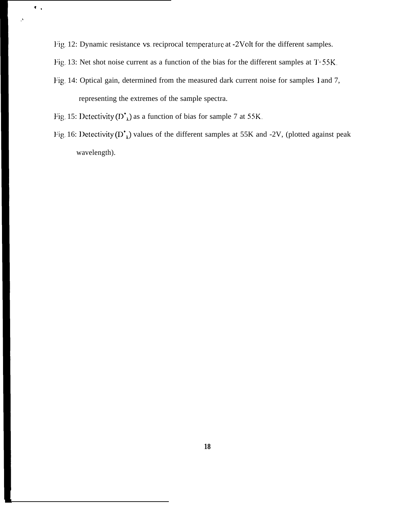*lig.* 12: Dynamic resistance vs. reciprocal temperature at -2Volt for the different samples.

Fig. 13: Net shot noise current as a function of the bias for the different samples at  $T = 55K$ .

Fig. 14: Optical gain, determined from the measured dark current noise for samples 1 and 7, representing the extremes of the sample spectra.

Fig. 15: Detectivity  $(D^*)$  as a function of bias for sample 7 at 55K.

*c,*

*,.*

Fig. 16: Detectivity  $(D^*)$  values of the different samples at 55K and -2V, (plotted against peak wavelength).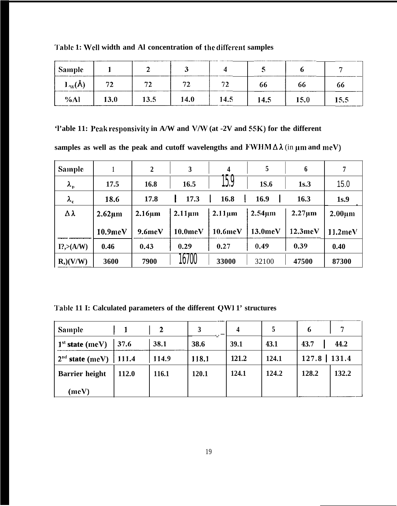| <b>Sample</b>                     |      |      |      |               |      |      |      |
|-----------------------------------|------|------|------|---------------|------|------|------|
| $\mathbf{I}_{\text{w}}(\text{Å})$ | 72   | 72   | 72   | 72<br>        | 66   | 66   | 66   |
| $%$ Al                            | 13.0 | 13.5 | 14.0 | 14.5<br>_____ | 14.5 | 15.0 | 15.5 |

Table 1: Well width and Al concentration of the different samples

'l'able 11: Peak responsivity in A/W and V/W (at -2V and 55K) for the different

samples as well as the peak and cutoff wavelengths and  $FWHM \Delta \lambda$  (in  $\mu$ m and meV)

| <b>Sample</b>     |               | 2            | 3            | 4            | 5            | 6            | 7            |
|-------------------|---------------|--------------|--------------|--------------|--------------|--------------|--------------|
| $\lambda_{\rm p}$ | 17.5          | 16.8         | 16.5         | 5.9          | <b>1S.6</b>  | 1s.3         | 15.0         |
| $\lambda_{\rm c}$ | 18.6          | 17.8         | 17.3         | 16.8         | 16.9         | 16.3         | 1s.9         |
| Δλ                | $2.62 \mu m$  | $2.16 \mu m$ | $2.11 \mu m$ | $2.11 \mu m$ | $2.54 \mu m$ | $2.27 \mu m$ | $2.00 \mu m$ |
|                   | $10.9$ me $V$ | $9.6$ me $V$ | 10.0 meV     | 10.6 meV     | 13.0 meV     | 12.3 meV     | 11.2 meV     |
| $I^2,\geq(A/W)$   | 0.46          | 0.43         | 0.29         | 0.27         | 0.49         | 0.39         | 0.40         |
| $R2$ (V/W)        | 3600          | 7900         | 16700        | 33000        | 32100        | 47500        | 87300        |

Table 11 I: Calculated parameters of the different QWI 1' structures

| <b>Sample</b>         |       |       | 3     | $\overline{4}$ |       | 6               | $\mathcal{I}$ |
|-----------------------|-------|-------|-------|----------------|-------|-----------------|---------------|
| $1st$ state (meV)     | 37.6  | 38.1  | 38.6  | 39.1           | 43.1  | 43.7            | 44.2          |
| $2nd$ state (meV)     | 111.4 | 114.9 | 118.1 | 121.2          | 124.1 | $127.8$   131.4 |               |
| <b>Barrier height</b> | 112.0 | 116.1 | 120.1 | 124.1          | 124.2 | 128.2           | 132.2         |
| (meV)                 |       |       |       |                |       |                 |               |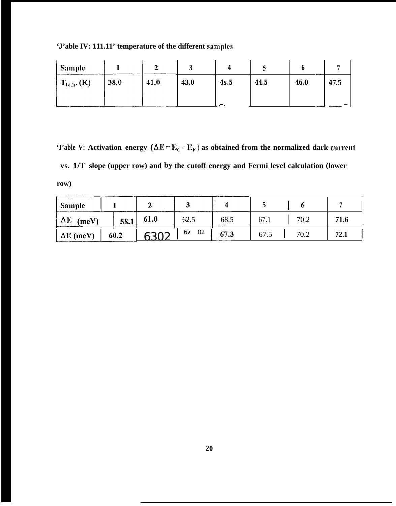'J'able IV: 111.11' temperature of the different samples

| <b>Sample</b>                                     |      |      |      |      |      |             |      |
|---------------------------------------------------|------|------|------|------|------|-------------|------|
| $\mathcal{T}_{\text{BLP}}\left(\mathrm{K}\right)$ | 38.0 | 41.0 | 43.0 | 4s.5 | 44.5 | <b>46.0</b> | 47.5 |
|                                                   |      |      |      |      |      |             |      |

'J'able V: Activation energy ( $\Delta E = E_C - E_F$ ) as obtained from the normalized dark current vs. 1/T slope (upper row) and by the cutoff energy and Fermi level calculation (lower  $row)$ 

| <b>Sample</b>            |      |      |                      |      |      |      |      |
|--------------------------|------|------|----------------------|------|------|------|------|
| ΔЕ<br>(meV)              | 58.1 | 61.0 | 62.5                 | 68.5 | 67.1 | 70.2 | 71.6 |
| $\vert$ $\Delta E$ (meV) | 60.2 |      | 02<br>O <sub>I</sub> | 67.3 | 67.5 | 70.2 | 72.1 |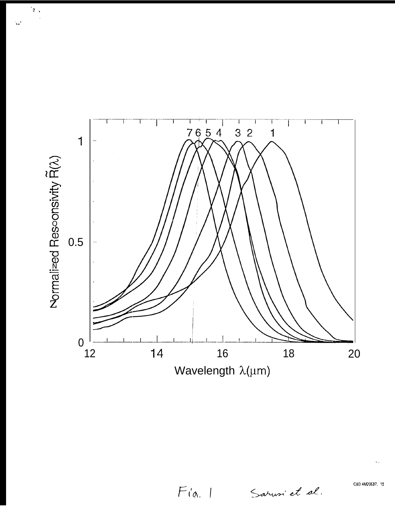

 $\overline{u}$ 

 $\mathbb{Q}^3$ 

C&D 4M20687. 15

 $Fix$ .

Sarusi et al.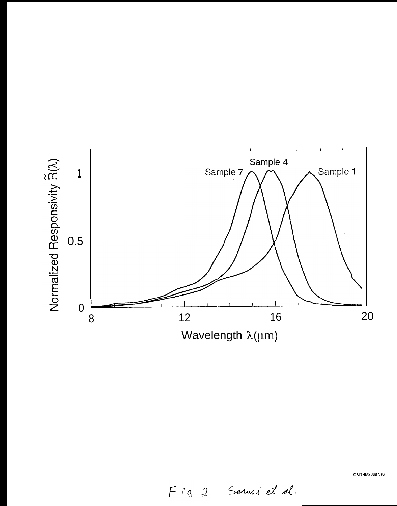

C&D 4M20687.16

Fig. 2 Sarusi et al.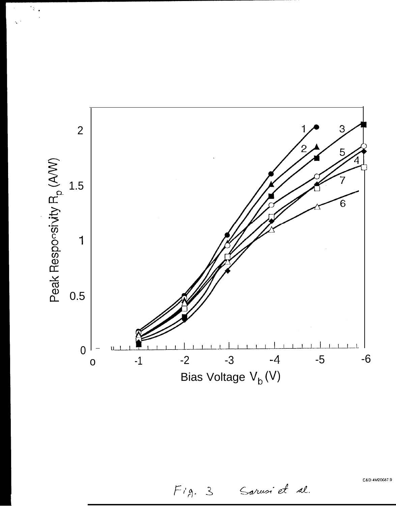

 $\frac{1}{2}$ 

Sarusi et al.

C&D 4M20687.9

 $Fig. 3$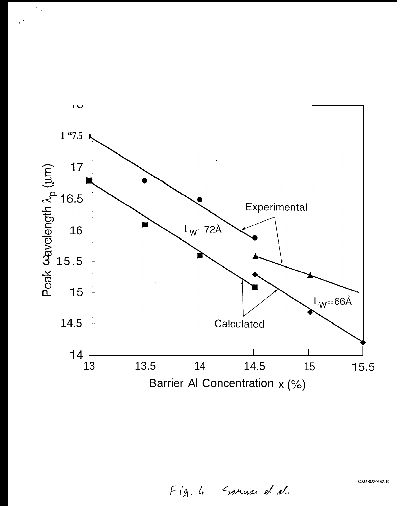

 $\chi_{\rm{th}}$ 

C&D 4M20687.10

Fig. 4 Sarvis et al.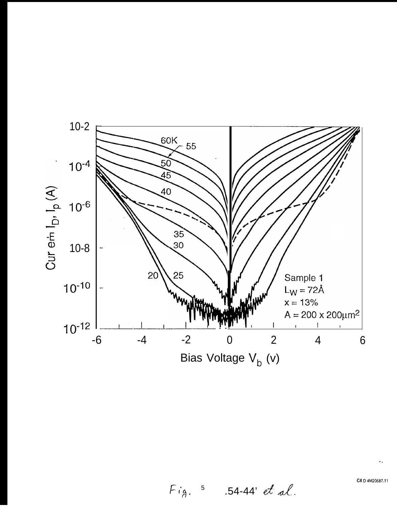

C& D 4M20687.11

Fig. 5 .54-44' et al.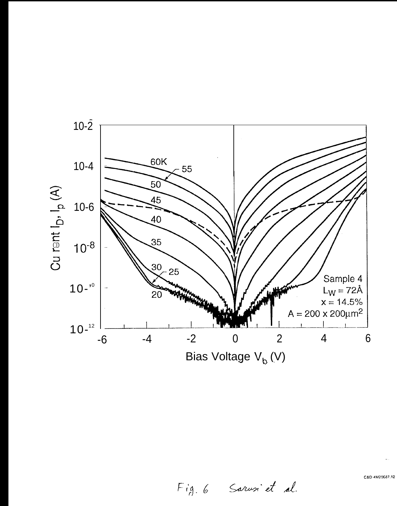

C&D 4M20687.12

Fig. 6 Sarvoi et al.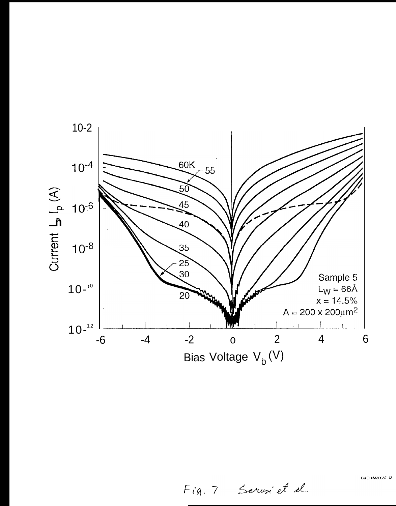

C&D 4M20687.13

Fig. 7 Sarvi et d.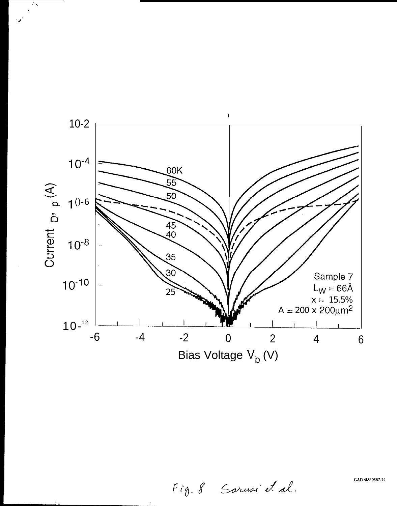

 $\mathbb{R}_{\mathcal{S}}$ 

Fig. 8 Sarusi et al.

C&D 4M20687.14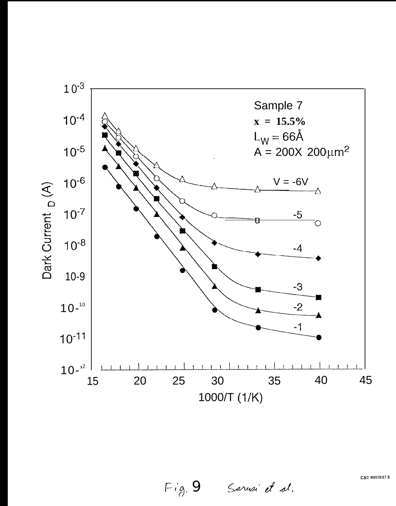

C&D 4M20687.8

Fig. 9 Sarusi et al.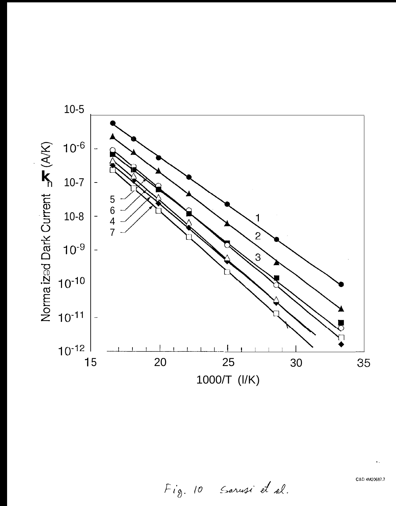

Fig. 10 Sarusi et al.

C&D 4M20687.7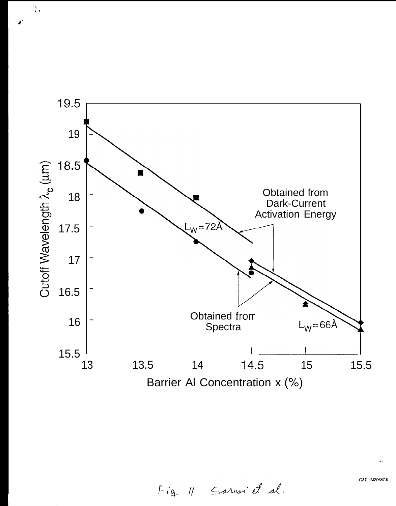

 $\frac{1}{2} \sum_{i=1}^{2} \frac{1}{2}$ 

C&D 4M20687.6

Fig 11 Evarusi et al.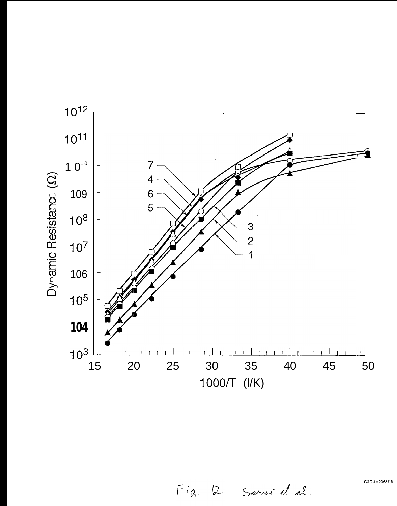

Fig. 12 Sarusi et al.

C8D 4M20687.5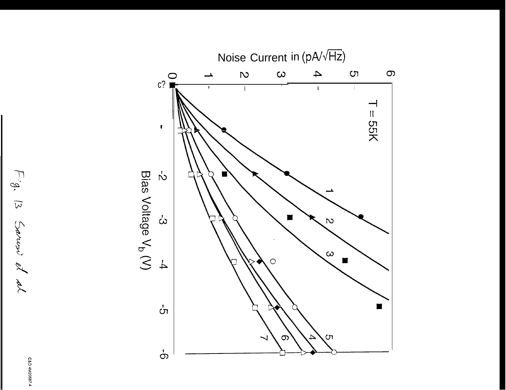

F'g. 13 Sarwin et al

C8D 4M20687.4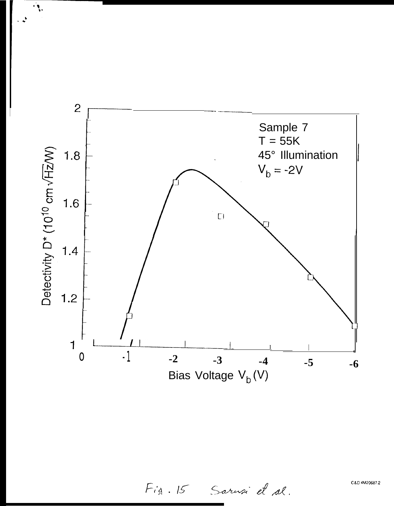

٦.

 $\cdot$   $\star$ 

Fig. 15 Sarusi et al.

C&D 4M20687.2